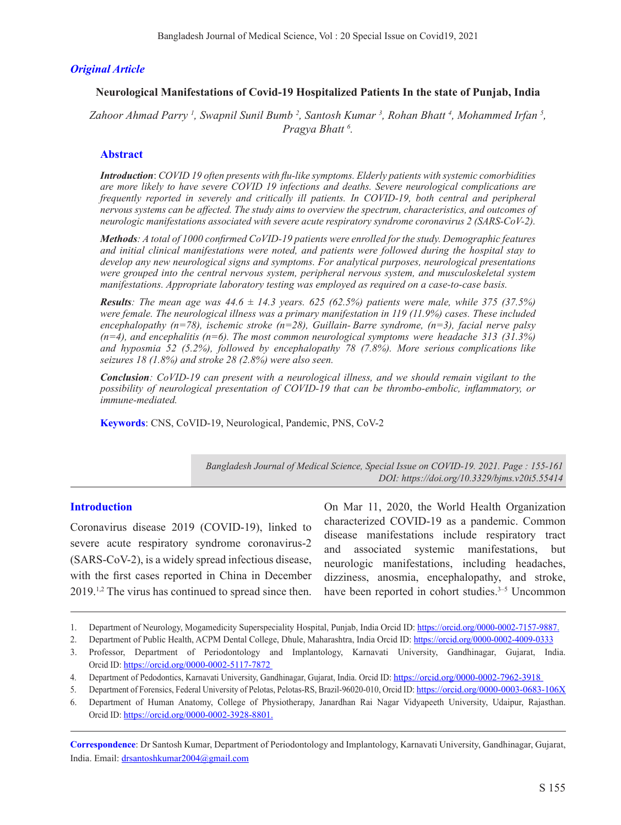# *Original Article*

#### **Neurological Manifestations of Covid-19 Hospitalized Patients In the state of Punjab, India**

*Zahoor Ahmad Parry 1 , Swapnil Sunil Bumb 2 , Santosh Kumar 3 , Rohan Bhatt 4 , Mohammed Irfan 5 , Pragya Bhatt 6 .*

#### **Abstract**

*Introduction*: *COVID 19 often presents with flu-like symptoms. Elderly patients with systemic comorbidities are more likely to have severe COVID 19 infections and deaths. Severe neurological complications are frequently reported in severely and critically ill patients. In COVID-19, both central and peripheral nervous systems can be affected. The study aims to overview the spectrum, characteristics, and outcomes of neurologic manifestations associated with severe acute respiratory syndrome coronavirus 2 (SARS-CoV-2).*

*Methods: A total of 1000 confirmed CoVID-19 patients were enrolled for the study. Demographic features and initial clinical manifestations were noted, and patients were followed during the hospital stay to develop any new neurological signs and symptoms. For analytical purposes, neurological presentations were grouped into the central nervous system, peripheral nervous system, and musculoskeletal system manifestations. Appropriate laboratory testing was employed as required on a case-to-case basis.*

*Results*: The mean age was  $44.6 \pm 14.3$  years. 625 (62.5%) patients were male, while 375 (37.5%) *were female. The neurological illness was a primary manifestation in 119 (11.9%) cases. These included encephalopathy (n=78), ischemic stroke (n=28), Guillain- Barre syndrome, (n=3), facial nerve palsy (n=4), and encephalitis (n=6). The most common neurological symptoms were headache 313 (31.3%) and hyposmia 52 (5.2%), followed by encephalopathy 78 (7.8%). More serious complications like seizures 18 (1.8%) and stroke 28 (2.8%) were also seen.*

*Conclusion: CoVID-19 can present with a neurological illness, and we should remain vigilant to the possibility of neurological presentation of COVID-19 that can be thrombo-embolic, inflammatory, or immune-mediated.*

**Keywords**: CNS, CoVID-19, Neurological, Pandemic, PNS, CoV-2

*Bangladesh Journal of Medical Science, Special Issue on COVID-19. 2021. Page : 155-161 DOI: https://doi.org/10.3329/bjms.v20i5.55414* 

#### **Introduction**

Coronavirus disease 2019 (COVID-19), linked to severe acute respiratory syndrome coronavirus-2 (SARS-CoV-2), is a widely spread infectious disease, with the first cases reported in China in December 2019.1,2 The virus has continued to spread since then.

On Mar 11, 2020, the World Health Organization characterized COVID-19 as a pandemic. Common disease manifestations include respiratory tract and associated systemic manifestations, but neurologic manifestations, including headaches, dizziness, anosmia, encephalopathy, and stroke, have been reported in cohort studies.<sup>3–5</sup> Uncommon

**Correspondence**: Dr Santosh Kumar, Department of Periodontology and Implantology, Karnavati University, Gandhinagar, Gujarat, India. Email: drsantoshkumar2004@gmail.com

<sup>1.</sup> Department of Neurology, Mogamedicity Superspeciality Hospital, Punjab, India Orcid ID: https://orcid.org/0000-0002-7157-9887.

<sup>2.</sup> Department of Public Health, ACPM Dental College, Dhule, Maharashtra, India Orcid ID: https://orcid.org/0000-0002-4009-0333

<sup>3.</sup> Professor, Department of Periodontology and Implantology, Karnavati University, Gandhinagar, Gujarat, India. Orcid ID: https://orcid.org/0000-0002-5117-7872

<sup>4.</sup> Department of Pedodontics, Karnavati University, Gandhinagar, Gujarat, India. Orcid ID: https://orcid.org/0000-0002-7962-3918

<sup>5.</sup> Department of Forensics, Federal University of Pelotas, Pelotas-RS, Brazil-96020-010, Orcid ID: https://orcid.org/0000-0003-0683-106X

<sup>6.</sup> Department of Human Anatomy, College of Physiotherapy, Janardhan Rai Nagar Vidyapeeth University, Udaipur, Rajasthan. Orcid ID: https://orcid.org/0000-0002-3928-8801.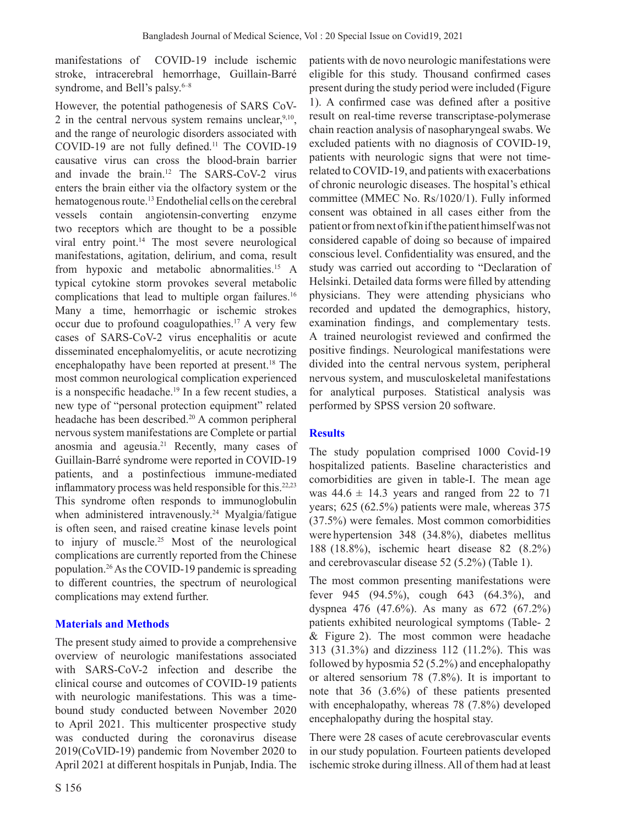manifestations of COVID-19 include ischemic stroke, intracerebral hemorrhage, Guillain-Barré syndrome, and Bell's palsy. $6-8$ 

However, the potential pathogenesis of SARS CoV-2 in the central nervous system remains unclear,  $9,10$ , and the range of neurologic disorders associated with COVID-19 are not fully defined.11 The COVID-19 causative virus can cross the blood-brain barrier and invade the brain.12 The SARS-CoV-2 virus enters the brain either via the olfactory system or the hematogenous route.<sup>13</sup> Endothelial cells on the cerebral vessels contain angiotensin-converting enzyme two receptors which are thought to be a possible viral entry point.<sup>14</sup> The most severe neurological manifestations, agitation, delirium, and coma, result from hypoxic and metabolic abnormalities.15 A typical cytokine storm provokes several metabolic complications that lead to multiple organ failures.<sup>16</sup> Many a time, hemorrhagic or ischemic strokes occur due to profound coagulopathies.17 A very few cases of SARS-CoV-2 virus encephalitis or acute disseminated encephalomyelitis, or acute necrotizing encephalopathy have been reported at present.<sup>18</sup> The most common neurological complication experienced is a nonspecific headache.<sup>19</sup> In a few recent studies, a new type of "personal protection equipment" related headache has been described.20 A common peripheral nervous system manifestations are Complete or partial anosmia and ageusia.<sup>21</sup> Recently, many cases of Guillain-Barré syndrome were reported in COVID-19 patients, and a postinfectious immune-mediated inflammatory process was held responsible for this.<sup>22,23</sup> This syndrome often responds to immunoglobulin when administered intravenously.<sup>24</sup> Myalgia/fatigue is often seen, and raised creatine kinase levels point to injury of muscle.25 Most of the neurological complications are currently reported from the Chinese population.26 As the COVID-19 pandemic is spreading to different countries, the spectrum of neurological complications may extend further.

### **Materials and Methods**

The present study aimed to provide a comprehensive overview of neurologic manifestations associated with SARS-CoV-2 infection and describe the clinical course and outcomes of COVID-19 patients with neurologic manifestations. This was a timebound study conducted between November 2020 to April 2021. This multicenter prospective study was conducted during the coronavirus disease 2019(CoVID-19) pandemic from November 2020 to April 2021 at different hospitals in Punjab, India. The

patients with de novo neurologic manifestations were eligible for this study. Thousand confirmed cases present during the study period were included (Figure 1). A confirmed case was defined after a positive result on real-time reverse transcriptase-polymerase chain reaction analysis of nasopharyngeal swabs. We excluded patients with no diagnosis of COVID-19, patients with neurologic signs that were not timerelated to COVID-19, and patients with exacerbations of chronic neurologic diseases. The hospital's ethical committee (MMEC No. Rs/1020/1). Fully informed consent was obtained in all cases either from the patient or from next of kin if the patient himself was not considered capable of doing so because of impaired conscious level. Confidentiality was ensured, and the study was carried out according to "Declaration of Helsinki. Detailed data forms were filled by attending physicians. They were attending physicians who recorded and updated the demographics, history, examination findings, and complementary tests. A trained neurologist reviewed and confirmed the positive findings. Neurological manifestations were divided into the central nervous system, peripheral nervous system, and musculoskeletal manifestations for analytical purposes. Statistical analysis was performed by SPSS version 20 software.

#### **Results**

The study population comprised 1000 Covid-19 hospitalized patients. Baseline characteristics and comorbidities are given in table-I. The mean age was  $44.6 \pm 14.3$  years and ranged from 22 to 71 years; 625 (62.5%) patients were male, whereas 375 (37.5%) were females. Most common comorbidities were hypertension 348 (34.8%), diabetes mellitus 188 (18.8%), ischemic heart disease 82 (8.2%) and cerebrovascular disease 52 (5.2%) (Table 1).

The most common presenting manifestations were fever 945 (94.5%), cough 643 (64.3%), and dyspnea 476 (47.6%). As many as 672 (67.2%) patients exhibited neurological symptoms (Table- 2 & Figure 2). The most common were headache 313 (31.3%) and dizziness 112 (11.2%). This was followed by hyposmia 52 (5.2%) and encephalopathy or altered sensorium 78 (7.8%). It is important to note that 36 (3.6%) of these patients presented with encephalopathy, whereas 78 (7.8%) developed encephalopathy during the hospital stay.

There were 28 cases of acute cerebrovascular events in our study population. Fourteen patients developed ischemic stroke during illness. All of them had at least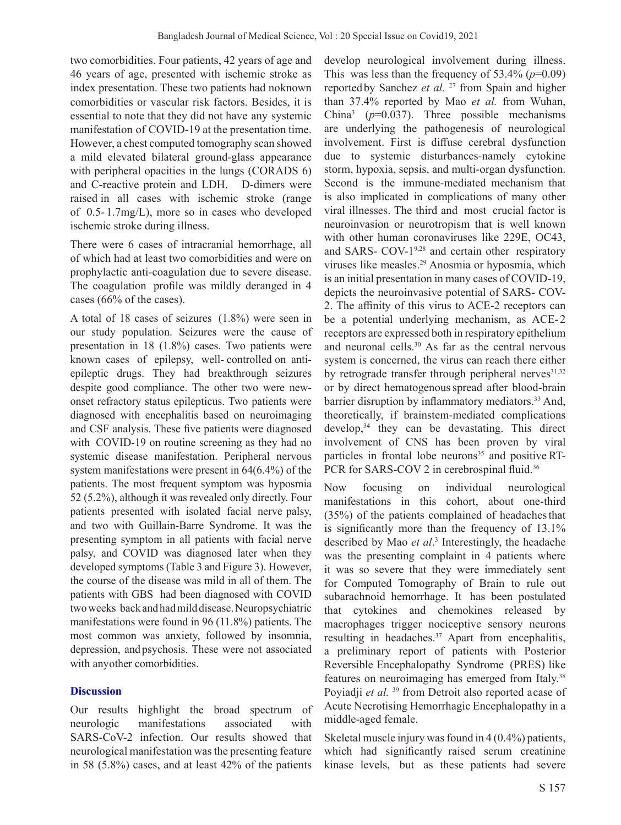two comorbidities. Four patients, 42 years of age and 46 years of age, presented with ischemic stroke as index presentation. These two patients had no known comorbidities or vascular risk factors. Besides, it is essential to note that they did not have any systemic manifestation of COVID-19 at the presentation time. However, a chest computed tomography scan showed a mild elevated bilateral ground-glass appearance with peripheral opacities in the lungs (CORADS 6) and C-reactive protein and LDH. D-dimers were raised in all cases with ischemic stroke (range of 0.5- 1.7mg/L), more so in cases who developed ischemic stroke during illness.

There were 6 cases of intracranial hemorrhage, all of which had at least two comorbidities and were on prophylactic anti-coagulation due to severe disease. The coagulation profile was mildly deranged in 4 cases (66% of the cases).

A total of 18 cases of seizures (1.8%) were seen in our study population. Seizures were the cause of presentation in 18 (1.8%) cases. Two patients were known cases of epilepsy, well- controlled on antiepileptic drugs. They had breakthrough seizures despite good compliance. The other two were newonset refractory status epilepticus. Two patients were diagnosed with encephalitis based on neuroimaging and CSF analysis. These five patients were diagnosed with COVID-19 on routine screening as they had no systemic disease manifestation. Peripheral nervous system manifestations were present in 64(6.4%) of the patients. The most frequent symptom was hyposmia 52 (5.2%), although it was revealed only directly. Four patients presented with isolated facial nerve palsy, and two with Guillain-Barre Syndrome. It was the presenting symptom in all patients with facial nerve palsy, and COVID was diagnosed later when they developed symptoms (Table 3 and Figure 3). However, the course of the disease was mild in all of them. The patients with GBS had been diagnosed with COVID two weeks back and had mild disease. Neuropsychiatric manifestations were found in 96 (11.8%) patients. The most common was anxiety, followed by insomnia, depression, and psychosis. These were not associated with any other comorbidities.

### **Discussion**

Our results highlight the broad spectrum of neurologic manifestations associated with SARS-CoV-2 infection. Our results showed that neurological manifestation was the presenting feature in 58 (5.8%) cases, and at least 42% of the patients

develop neurological involvement during illness. This was less than the frequency of  $53.4\%$  ( $p=0.09$ ) reported by Sanchez *et al.* <sup>27</sup> from Spain and higher than 37.4% reported by Mao *et al.* from Wuhan, China3 (*p*=0.037). Three possible mechanisms are underlying the pathogenesis of neurological involvement. First is diffuse cerebral dysfunction due to systemic disturbances-namely cytokine storm, hypoxia, sepsis, and multi-organ dysfunction. Second is the immune-mediated mechanism that is also implicated in complications of many other viral illnesses. The third and most crucial factor is neuroinvasion or neurotropism that is well known with other human coronaviruses like 229E, OC43, and SARS-  $COV-1^{9,28}$  and certain other respiratory viruses like measles.29 Anosmia or hyposmia, which is an initial presentation in many cases of COVID-19, depicts the neuroinvasive potential of SARS- COV-2. The affinity of this virus to ACE-2 receptors can be a potential underlying mechanism, as ACE-2 receptors are expressed both in respiratory epithelium and neuronal cells.30 As far as the central nervous system is concerned, the virus can reach there either by retrograde transfer through peripheral nerves $31,32$ or by direct hematogenous spread after blood-brain barrier disruption by inflammatory mediators.<sup>33</sup> And, theoretically, if brainstem-mediated complications develop,<sup>34</sup> they can be devastating. This direct involvement of CNS has been proven by viral particles in frontal lobe neurons $35$  and positive RT-PCR for SARS-COV 2 in cerebrospinal fluid.<sup>36</sup>

Now focusing on individual neurological manifestations in this cohort, about one-third (35%) of the patients complained of headaches that is significantly more than the frequency of 13.1% described by Mao *et al*. 3 Interestingly, the headache was the presenting complaint in 4 patients where it was so severe that they were immediately sent for Computed Tomography of Brain to rule out subarachnoid hemorrhage. It has been postulated that cytokines and chemokines released by macrophages trigger nociceptive sensory neurons resulting in headaches.<sup>37</sup> Apart from encephalitis, a preliminary report of patients with Posterior Reversible Encephalopathy Syndrome (PRES) like features on neuroimaging has emerged from Italy.<sup>38</sup> Poyiadji *et al.* <sup>39</sup> from Detroit also reported acase of Acute Necrotising Hemorrhagic Encephalopathy in a middle-aged female.

Skeletal muscle injury was found in 4 (0.4%) patients, which had significantly raised serum creatinine kinase levels, but as these patients had severe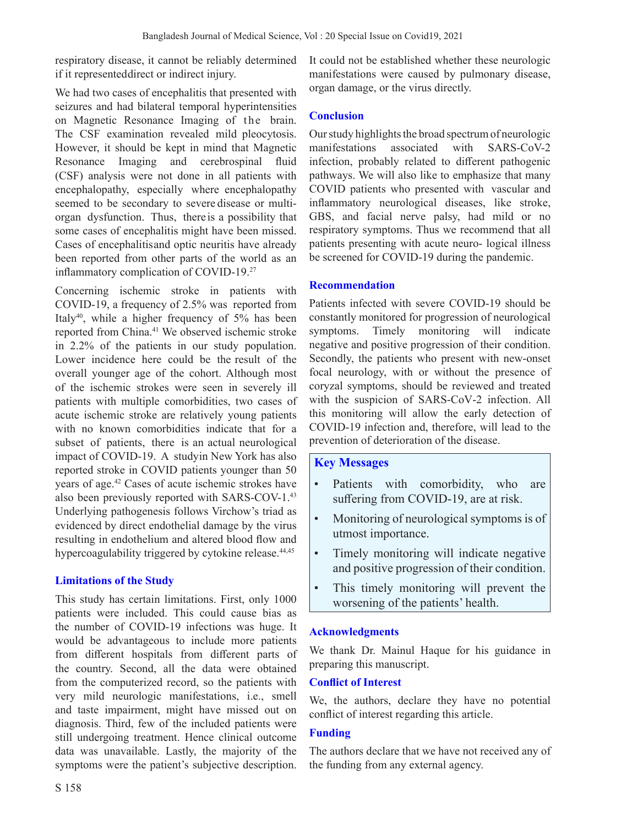respiratory disease, it cannot be reliably determined if it represented direct or indirect injury.

We had two cases of encephalitis that presented with seizures and had bilateral temporal hyperintensities on Magnetic Resonance Imaging of the brain. The CSF examination revealed mild pleocytosis. However, it should be kept in mind that Magnetic Resonance Imaging and cerebrospinal fluid (CSF) analysis were not done in all patients with encephalopathy, especially where encephalopathy seemed to be secondary to severe disease or multiorgan dysfunction. Thus, there is a possibility that some cases of encephalitis might have been missed. Cases of encephalitis and optic neuritis have already been reported from other parts of the world as an inflammatory complication of COVID-19.<sup>27</sup>

Concerning ischemic stroke in patients with COVID-19, a frequency of 2.5% was reported from Italy40, while a higher frequency of 5% has been reported from China.41 We observed ischemic stroke in 2.2% of the patients in our study population. Lower incidence here could be the result of the overall younger age of the cohort. Although most of the ischemic strokes were seen in severely ill patients with multiple comorbidities, two cases of acute ischemic stroke are relatively young patients with no known comorbidities indicate that for a subset of patients, there is an actual neurological impact of COVID-19. A study in New York has also reported stroke in COVID patients younger than 50 years of age.42 Cases of acute ischemic strokes have also been previously reported with SARS-COV-1.43 Underlying pathogenesis follows Virchow's triad as evidenced by direct endothelial damage by the virus resulting in endothelium and altered blood flow and hypercoagulability triggered by cytokine release.<sup>44,45</sup>

# **Limitations of the Study**

This study has certain limitations. First, only 1000 patients were included. This could cause bias as the number of COVID-19 infections was huge. It would be advantageous to include more patients from different hospitals from different parts of the country. Second, all the data were obtained from the computerized record, so the patients with very mild neurologic manifestations, i.e., smell and taste impairment, might have missed out on diagnosis. Third, few of the included patients were still undergoing treatment. Hence clinical outcome data was unavailable. Lastly, the majority of the symptoms were the patient's subjective description. It could not be established whether these neurologic manifestations were caused by pulmonary disease, organ damage, or the virus directly.

### **Conclusion**

Our study highlights the broad spectrum of neurologic manifestations associated with SARS-CoV-2 infection, probably related to different pathogenic pathways. We will also like to emphasize that many COVID patients who presented with vascular and inflammatory neurological diseases, like stroke, GBS, and facial nerve palsy, had mild or no respiratory symptoms. Thus we recommend that all patients presenting with acute neuro- logical illness be screened for COVID-19 during the pandemic.

### **Recommendation**

Patients infected with severe COVID-19 should be constantly monitored for progression of neurological symptoms. Timely monitoring will indicate negative and positive progression of their condition. Secondly, the patients who present with new‐onset focal neurology, with or without the presence of coryzal symptoms, should be reviewed and treated with the suspicion of SARS‐CoV‐2 infection. All this monitoring will allow the early detection of COVID-19 infection and, therefore, will lead to the prevention of deterioration of the disease.

### **Key Messages**

- Patients with comorbidity, who are suffering from COVID-19, are at risk.
- Monitoring of neurological symptoms is of utmost importance.
- Timely monitoring will indicate negative and positive progression of their condition.
- This timely monitoring will prevent the worsening of the patients' health.

### **Acknowledgments**

We thank Dr. Mainul Haque for his guidance in preparing this manuscript.

### **Conflict of Interest**

We, the authors, declare they have no potential conflict of interest regarding this article.

## **Funding**

The authors declare that we have not received any of the funding from any external agency.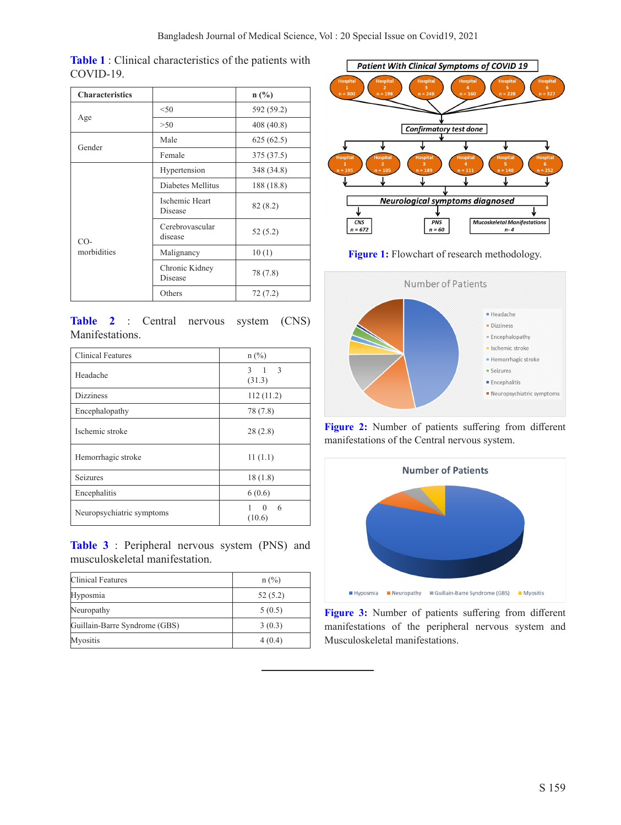| <b>Characteristics</b> |                                  | $n$ (%)    |  |
|------------------------|----------------------------------|------------|--|
|                        | < 50                             | 592 (59.2) |  |
| Age                    | >50                              | 408 (40.8) |  |
| Gender                 | Male                             | 625(62.5)  |  |
|                        | Female                           | 375 (37.5) |  |
|                        | Hypertension                     | 348 (34.8) |  |
|                        | Diabetes Mellitus                | 188 (18.8) |  |
|                        | <b>Ischemic Heart</b><br>Disease | 82(8.2)    |  |
| $CO-$                  | Cerebrovascular<br>disease       | 52(5.2)    |  |
| morbidities            | Malignancy                       | 10(1)      |  |
|                        | Chronic Kidney<br>Disease        | 78 (7.8)   |  |
|                        | Others                           | 72 (7.2)   |  |

**Table 1** : Clinical characteristics of the patients with COVID-19.

|                 |  | Table 2 : Central nervous system (CNS) |  |
|-----------------|--|----------------------------------------|--|
| Manifestations. |  |                                        |  |

| <b>Clinical Features</b>  | $n$ (%)                 |
|---------------------------|-------------------------|
| Headache                  | $3 \t1 \t3$<br>(31.3)   |
| <b>Dizziness</b>          | 112(11.2)               |
| Encephalopathy            | 78 (7.8)                |
| Ischemic stroke           | 28(2.8)                 |
| Hemorrhagic stroke        | 11(1.1)                 |
| Seizures                  | 18(1.8)                 |
| Encephalitis              | 6(0.6)                  |
| Neuropsychiatric symptoms | $\Omega$<br>6<br>(10.6) |

**Table 3** : Peripheral nervous system (PNS) and musculoskeletal manifestation.

| Clinical Features             | $n$ (%) |  |  |
|-------------------------------|---------|--|--|
| Hyposmia                      | 52(5.2) |  |  |
| Neuropathy                    | 5(0.5)  |  |  |
| Guillain-Barre Syndrome (GBS) | 3(0.3)  |  |  |
| <b>Myositis</b>               | 4(0.4)  |  |  |



**Figure 1:** Flowchart of research methodology.



Figure 2: Number of patients suffering from different manifestations of the Central nervous system.



**Figure 3:** Number of patients suffering from different manifestations of the peripheral nervous system and Musculoskeletal manifestations.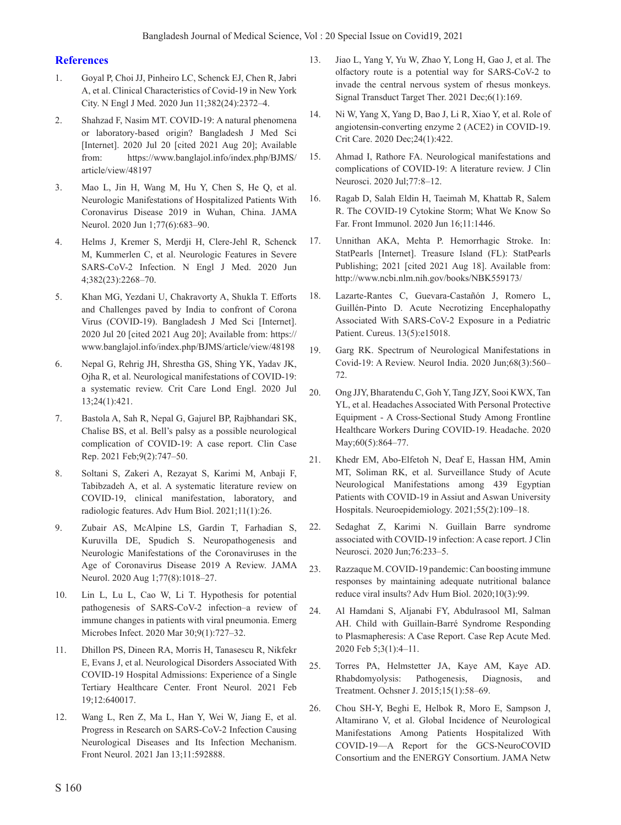#### **References**

- 1. Goyal P, Choi JJ, Pinheiro LC, Schenck EJ, Chen R, Jabri A, et al. Clinical Characteristics of Covid-19 in New York City. N Engl J Med. 2020 Jun 11;382(24):2372–4.
- 2. Shahzad F, Nasim MT. COVID-19: A natural phenomena or laboratory-based origin? Bangladesh J Med Sci [Internet]. 2020 Jul 20 [cited 2021 Aug 20]; Available from: https://www.banglajol.info/index.php/BJMS/ article/view/48197
- 3. Mao L, Jin H, Wang M, Hu Y, Chen S, He Q, et al. Neurologic Manifestations of Hospitalized Patients With Coronavirus Disease 2019 in Wuhan, China. JAMA Neurol. 2020 Jun 1;77(6):683–90.
- 4. Helms J, Kremer S, Merdji H, Clere-Jehl R, Schenck M, Kummerlen C, et al. Neurologic Features in Severe SARS-CoV-2 Infection. N Engl J Med. 2020 Jun 4;382(23):2268–70.
- 5. Khan MG, Yezdani U, Chakravorty A, Shukla T. Efforts and Challenges paved by India to confront of Corona Virus (COVID-19). Bangladesh J Med Sci [Internet]. 2020 Jul 20 [cited 2021 Aug 20]; Available from: https:// www.banglajol.info/index.php/BJMS/article/view/48198
- 6. Nepal G, Rehrig JH, Shrestha GS, Shing YK, Yadav JK, Ojha R, et al. Neurological manifestations of COVID-19: a systematic review. Crit Care Lond Engl. 2020 Jul 13;24(1):421.
- 7. Bastola A, Sah R, Nepal G, Gajurel BP, Rajbhandari SK, Chalise BS, et al. Bell's palsy as a possible neurological complication of COVID‐19: A case report. Clin Case Rep. 2021 Feb;9(2):747–50.
- 8. Soltani S, Zakeri A, Rezayat S, Karimi M, Anbaji F, Tabibzadeh A, et al. A systematic literature review on COVID-19, clinical manifestation, laboratory, and radiologic features. Adv Hum Biol. 2021;11(1):26.
- 9. Zubair AS, McAlpine LS, Gardin T, Farhadian S, Kuruvilla DE, Spudich S. Neuropathogenesis and Neurologic Manifestations of the Coronaviruses in the Age of Coronavirus Disease 2019 A Review. JAMA Neurol. 2020 Aug 1;77(8):1018–27.
- 10. Lin L, Lu L, Cao W, Li T. Hypothesis for potential pathogenesis of SARS-CoV-2 infection–a review of immune changes in patients with viral pneumonia. Emerg Microbes Infect. 2020 Mar 30;9(1):727–32.
- 11. Dhillon PS, Dineen RA, Morris H, Tanasescu R, Nikfekr E, Evans J, et al. Neurological Disorders Associated With COVID-19 Hospital Admissions: Experience of a Single Tertiary Healthcare Center. Front Neurol. 2021 Feb 19;12:640017.
- 12. Wang L, Ren Z, Ma L, Han Y, Wei W, Jiang E, et al. Progress in Research on SARS-CoV-2 Infection Causing Neurological Diseases and Its Infection Mechanism. Front Neurol. 2021 Jan 13;11:592888.
- 13. Jiao L, Yang Y, Yu W, Zhao Y, Long H, Gao J, et al. The olfactory route is a potential way for SARS-CoV-2 to invade the central nervous system of rhesus monkeys. Signal Transduct Target Ther. 2021 Dec;6(1):169.
- 14. Ni W, Yang X, Yang D, Bao J, Li R, Xiao Y, et al. Role of angiotensin-converting enzyme 2 (ACE2) in COVID-19. Crit Care. 2020 Dec;24(1):422.
- 15. Ahmad I, Rathore FA. Neurological manifestations and complications of COVID-19: A literature review. J Clin Neurosci. 2020 Jul;77:8–12.
- 16. Ragab D, Salah Eldin H, Taeimah M, Khattab R, Salem R. The COVID-19 Cytokine Storm; What We Know So Far. Front Immunol. 2020 Jun 16;11:1446.
- 17. Unnithan AKA, Mehta P. Hemorrhagic Stroke. In: StatPearls [Internet]. Treasure Island (FL): StatPearls Publishing; 2021 [cited 2021 Aug 18]. Available from: http://www.ncbi.nlm.nih.gov/books/NBK559173/
- 18. Lazarte-Rantes C, Guevara-Castañón J, Romero L, Guillén-Pinto D. Acute Necrotizing Encephalopathy Associated With SARS-CoV-2 Exposure in a Pediatric Patient. Cureus. 13(5):e15018.
- 19. Garg RK. Spectrum of Neurological Manifestations in Covid-19: A Review. Neurol India. 2020 Jun;68(3):560– 72.
- 20. Ong JJY, Bharatendu C, Goh Y, Tang JZY, Sooi KWX, Tan YL, et al. Headaches Associated With Personal Protective Equipment - A Cross-Sectional Study Among Frontline Healthcare Workers During COVID-19. Headache. 2020 May;60(5):864-77.
- 21. Khedr EM, Abo-Elfetoh N, Deaf E, Hassan HM, Amin MT, Soliman RK, et al. Surveillance Study of Acute Neurological Manifestations among 439 Egyptian Patients with COVID-19 in Assiut and Aswan University Hospitals. Neuroepidemiology. 2021;55(2):109–18.
- 22. Sedaghat Z, Karimi N. Guillain Barre syndrome associated with COVID-19 infection: A case report. J Clin Neurosci. 2020 Jun;76:233–5.
- 23. Razzaque M. COVID-19 pandemic: Can boosting immune responses by maintaining adequate nutritional balance reduce viral insults? Adv Hum Biol. 2020;10(3):99.
- 24. Al Hamdani S, Aljanabi FY, Abdulrasool MI, Salman AH. Child with Guillain-Barré Syndrome Responding to Plasmapheresis: A Case Report. Case Rep Acute Med. 2020 Feb 5;3(1):4–11.
- 25. Torres PA, Helmstetter JA, Kaye AM, Kaye AD. Rhabdomyolysis: Pathogenesis, Diagnosis, and Treatment. Ochsner J. 2015;15(1):58–69.
- 26. Chou SH-Y, Beghi E, Helbok R, Moro E, Sampson J, Altamirano V, et al. Global Incidence of Neurological Manifestations Among Patients Hospitalized With COVID-19—A Report for the GCS-NeuroCOVID Consortium and the ENERGY Consortium. JAMA Netw